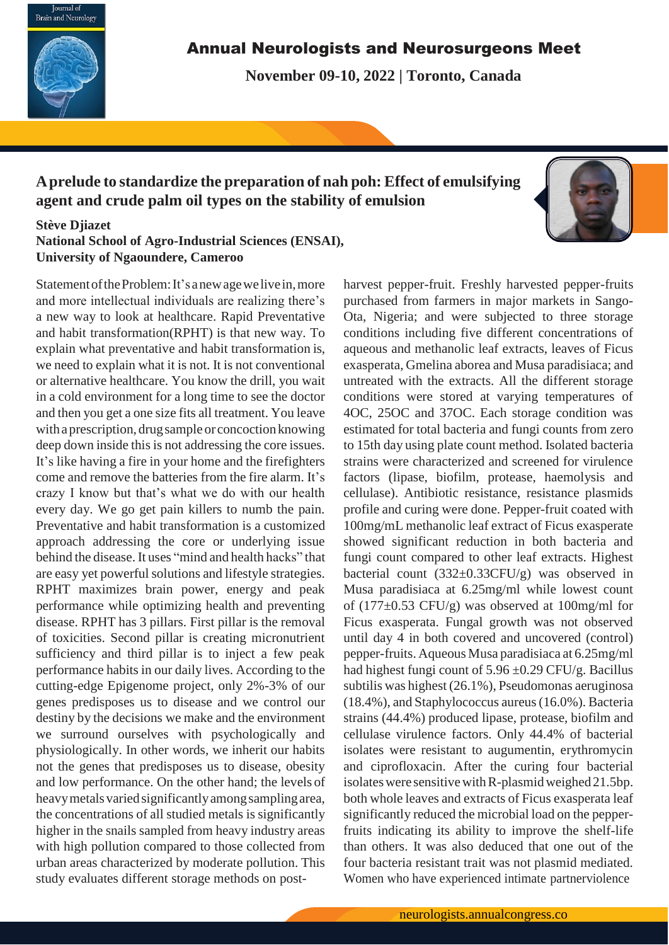

## Annual Neurologists and Neurosurgeons Meet

**November 09-10, 2022 | Toronto, Canada**

# **Aprelude to standardize the preparation of nah poh: Effect of emulsifying agent and crude palm oil types on the stability of emulsion**

## **Stève Djiazet**

**National School of Agro-Industrial Sciences (ENSAI), University of Ngaoundere, Cameroo**

Statement of the Problem: It's a new age we live in, more and more intellectual individuals are realizing there's a new way to look at healthcare. Rapid Preventative and habit transformation(RPHT) is that new way. To explain what preventative and habit transformation is, we need to explain what it is not. It is not conventional or alternative healthcare. You know the drill, you wait in a cold environment for a long time to see the doctor and then you get a one size fits all treatment. You leave with a prescription, drug sample or concoction knowing deep down inside this is not addressing the core issues. It's like having a fire in your home and the firefighters come and remove the batteries from the fire alarm. It's crazy I know but that's what we do with our health every day. We go get pain killers to numb the pain. Preventative and habit transformation is a customized approach addressing the core or underlying issue behind the disease. It uses "mind and health hacks" that are easy yet powerful solutions and lifestyle strategies. RPHT maximizes brain power, energy and peak performance while optimizing health and preventing disease. RPHT has 3 pillars. First pillar is the removal of toxicities. Second pillar is creating micronutrient sufficiency and third pillar is to inject a few peak performance habits in our daily lives. According to the cutting-edge Epigenome project, only 2%-3% of our genes predisposes us to disease and we control our destiny by the decisions we make and the environment we surround ourselves with psychologically and physiologically. In other words, we inherit our habits not the genes that predisposes us to disease, obesity and low performance. On the other hand; the levels of heavy metals varied significantly among sampling area, the concentrations of all studied metals is significantly higher in the snails sampled from heavy industry areas with high pollution compared to those collected from urban areas characterized by moderate pollution. This study evaluates different storage methods on postharvest pepper-fruit. Freshly harvested pepper-fruits purchased from farmers in major markets in Sango-Ota, Nigeria; and were subjected to three storage conditions including five different concentrations of aqueous and methanolic leaf extracts, leaves of Ficus exasperata, Gmelina aborea and Musa paradisiaca; and untreated with the extracts. All the different storage conditions were stored at varying temperatures of 4OC, 25OC and 37OC. Each storage condition was estimated for total bacteria and fungi counts from zero to 15th day using plate count method. Isolated bacteria strains were characterized and screened for virulence factors (lipase, biofilm, protease, haemolysis and cellulase). Antibiotic resistance, resistance plasmids profile and curing were done. Pepper-fruit coated with 100mg/mL methanolic leaf extract of Ficus exasperate showed significant reduction in both bacteria and fungi count compared to other leaf extracts. Highest bacterial count (332±0.33CFU/g) was observed in Musa paradisiaca at 6.25mg/ml while lowest count of (177±0.53 CFU/g) was observed at 100mg/ml for Ficus exasperata. Fungal growth was not observed until day 4 in both covered and uncovered (control) pepper-fruits. Aqueous Musa paradisiaca at 6.25mg/ml had highest fungi count of  $5.96 \pm 0.29$  CFU/g. Bacillus subtilis was highest (26.1%), Pseudomonas aeruginosa (18.4%), and Staphylococcus aureus(16.0%). Bacteria strains (44.4%) produced lipase, protease, biofilm and cellulase virulence factors. Only 44.4% of bacterial isolates were resistant to augumentin, erythromycin and ciprofloxacin. After the curing four bacterial isolates were sensitive with R-plasmid weighed 21.5bp. both whole leaves and extracts of Ficus exasperata leaf significantly reduced the microbial load on the pepperfruits indicating its ability to improve the shelf-life than others. It was also deduced that one out of the four bacteria resistant trait was not plasmid mediated. Women who have experienced intimate partnerviolence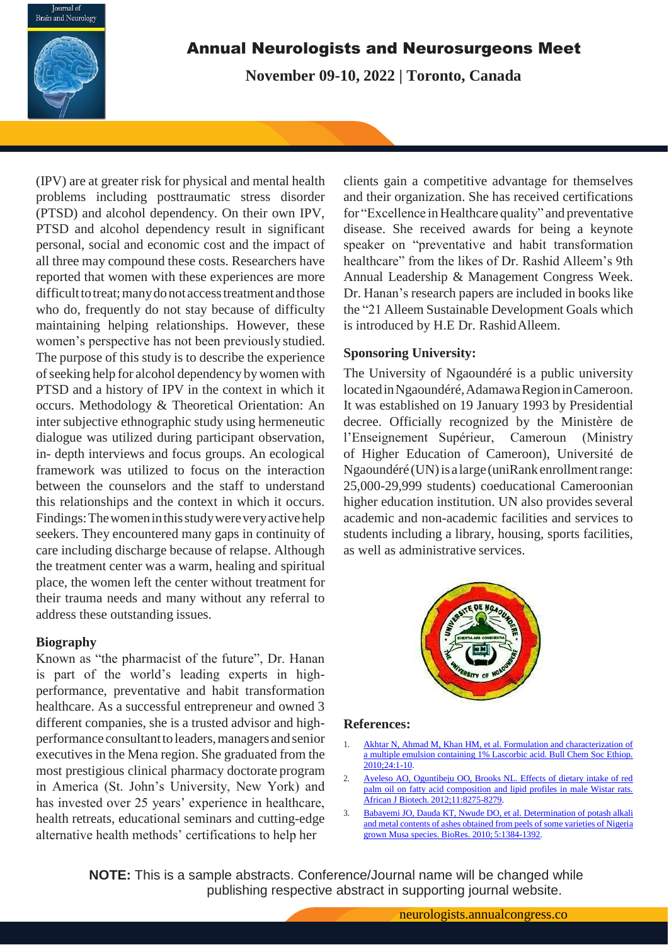

# Annual Neurologists and Neurosurgeons Meet

**November 09-10, 2022 | Toronto, Canada**

(IPV) are at greater risk for physical and mental health problems including posttraumatic stress disorder (PTSD) and alcohol dependency. On their own IPV, PTSD and alcohol dependency result in significant personal, social and economic cost and the impact of all three may compound these costs. Researchers have reported that women with these experiences are more difficult to treat; many do not access treatment and those who do, frequently do not stay because of difficulty maintaining helping relationships. However, these women's perspective has not been previously studied. The purpose of this study is to describe the experience ofseeking help for alcohol dependency bywomen with PTSD and a history of IPV in the context in which it occurs. Methodology & Theoretical Orientation: An inter subjective ethnographic study using hermeneutic dialogue was utilized during participant observation, in- depth interviews and focus groups. An ecological framework was utilized to focus on the interaction between the counselors and the staff to understand this relationships and the context in which it occurs. Findings: The women in this study were very active help seekers. They encountered many gaps in continuity of care including discharge because of relapse. Although the treatment center was a warm, healing and spiritual place, the women left the center without treatment for their trauma needs and many without any referral to address these outstanding issues.

#### **Biography**

Known as "the pharmacist of the future", Dr. Hanan is part of the world's leading experts in highperformance, preventative and habit transformation healthcare. As a successful entrepreneur and owned 3 different companies, she is a trusted advisor and highperformance consultant to leaders, managers and senior executives in the Mena region. She graduated from the most prestigious clinical pharmacy doctorate program in America (St. John's University, New York) and has invested over 25 years' experience in healthcare, health retreats, educational seminars and cutting-edge alternative health methods' certifications to help her

clients gain a competitive advantage for themselves and their organization. She has received certifications for "Excellence inHealthcare quality" and preventative disease. She received awards for being a keynote speaker on "preventative and habit transformation healthcare" from the likes of Dr. Rashid Alleem's 9th Annual Leadership & Management Congress Week. Dr. Hanan's research papers are included in books like the "21 Alleem Sustainable Development Goals which is introduced by H.E Dr. RashidAlleem.

### **Sponsoring University:**

The University of Ngaoundéré is a public university locatedinNgaoundéré,AdamawaRegioninCameroon. It was established on 19 January 1993 by Presidential decree. Officially recognized by the Ministère de l'Enseignement Supérieur, Cameroun (Ministry of Higher Education of Cameroon), Université de Ngaoundéré (UN) is a large (uniRank enrollment range: 25,000-29,999 students) coeducational Cameroonian higher education institution. UN also provides several academic and non-academic facilities and services to students including a library, housing, sports facilities, as well as administrative services.



#### **References:**

- 1. Akhtar N, Ahmad M, Khan HM, et al. Formulation and characterization of a multiple emulsion containing 1% Lascorbic acid. Bull Chem Soc Ethiop. 2010;24:1-10.
- 2. [Ayeleso AO, Oguntibeju OO, Brooks NL. Effects of dietary intake of red](https://academicjournals.org/journal/AJB/article-full-text-pdf/BBDC1A136936) [palm oil on fatty acid composition and lipid profiles in male Wistar rats.](https://academicjournals.org/journal/AJB/article-full-text-pdf/BBDC1A136936) African J Biotech. [2012;11:8275-8279.](https://academicjournals.org/journal/AJB/article-full-text-pdf/BBDC1A136936)
- 3. [Babayemi JO, Dauda KT, Nwude DO, et al. Determination of potash alkali](https://ojs.cnr.ncsu.edu/index.php/BioRes/article/view/BioRes_05_3_1384_Babyemi_DKNAEA_Potash_from_Musa_Peels) and metal contents of ashes [obtained](https://ojs.cnr.ncsu.edu/index.php/BioRes/article/view/BioRes_05_3_1384_Babyemi_DKNAEA_Potash_from_Musa_Peels) from peels of some varieties of Nigeri[a](https://ojs.cnr.ncsu.edu/index.php/BioRes/article/view/BioRes_05_3_1384_Babyemi_DKNAEA_Potash_from_Musa_Peels) [grown Musa species. BioRes. 2010;](https://ojs.cnr.ncsu.edu/index.php/BioRes/article/view/BioRes_05_3_1384_Babyemi_DKNAEA_Potash_from_Musa_Peels) 5:1384-1392.

**NOTE:** This is a sample abstracts. Conference/Journal name will be changed while publishing respective abstract in supporting journal website.